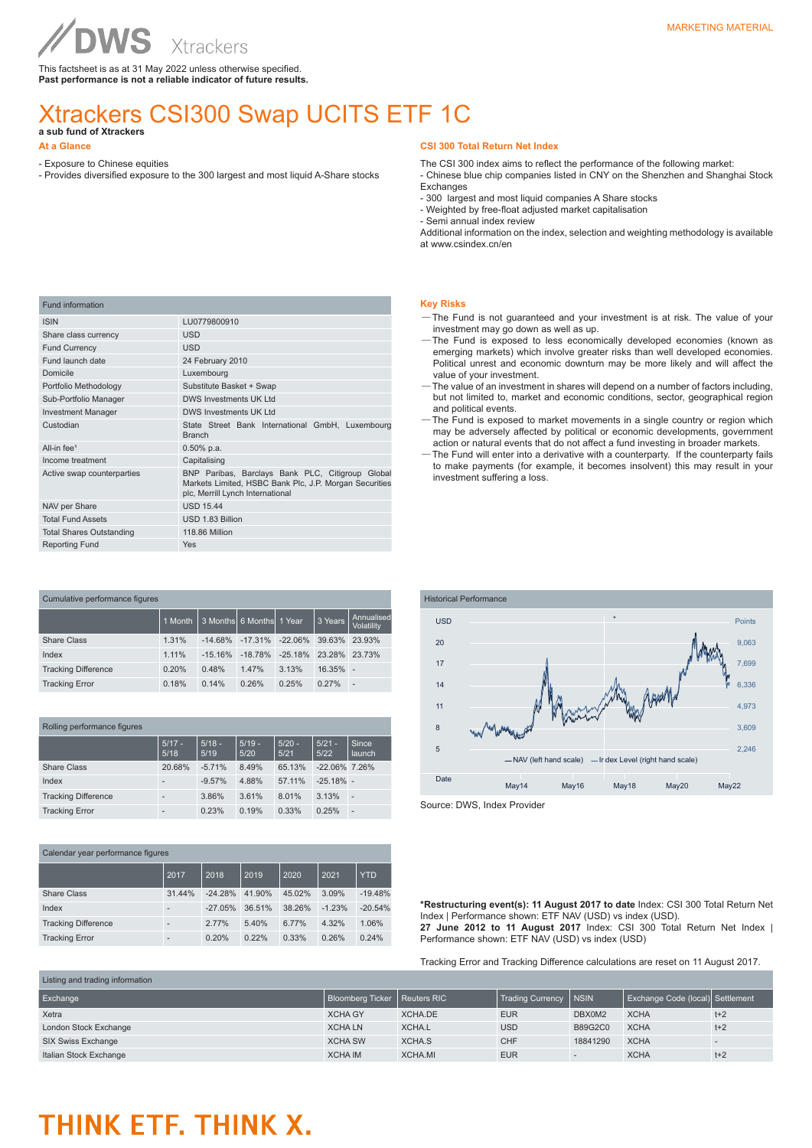This factsheet is as at 31 May 2022 unless otherwise specified. **Past performance is not a reliable indicator of future results.**

## Xtrackers CSI300 Swap UCITS ETF 1C **a sub fund of Xtrackers**

**At a Glance**

- Exposure to Chinese equities
- Provides diversified exposure to the 300 largest and most liquid A-Share stocks

#### **CSI 300 Total Return Net Index**

The CSI 300 index aims to reflect the performance of the following market:

- Chinese blue chip companies listed in CNY on the Shenzhen and Shanghai Stock Exchanges

- 300 largest and most liquid companies A Share stocks
- Weighted by free-float adjusted market capitalisation
- Semi annual index review

Additional information on the index, selection and weighting methodology is available at www.csindex.cn/en

| Fund information                |                                                                                                                                                |
|---------------------------------|------------------------------------------------------------------------------------------------------------------------------------------------|
| <b>ISIN</b>                     | LU0779800910                                                                                                                                   |
| Share class currency            | <b>USD</b>                                                                                                                                     |
| <b>Fund Currency</b>            | <b>USD</b>                                                                                                                                     |
| Fund launch date                | 24 February 2010                                                                                                                               |
| Domicile                        | Luxembourg                                                                                                                                     |
| Portfolio Methodology           | Substitute Basket + Swap                                                                                                                       |
| Sub-Portfolio Manager           | DWS Investments UK I td                                                                                                                        |
| <b>Investment Manager</b>       | <b>DWS Investments UK Ltd</b>                                                                                                                  |
| Custodian                       | State Street Bank International GmbH, Luxembourg<br><b>Branch</b>                                                                              |
| All-in $fee1$                   | $0.50\%$ p.a.                                                                                                                                  |
| Income treatment                | Capitalising                                                                                                                                   |
| Active swap counterparties      | BNP Paribas, Barclays Bank PLC, Citigroup Global<br>Markets Limited, HSBC Bank Plc, J.P. Morgan Securities<br>plc, Merrill Lynch International |
| NAV per Share                   | <b>USD 15.44</b>                                                                                                                               |
| <b>Total Fund Assets</b>        | USD 1.83 Billion                                                                                                                               |
| <b>Total Shares Outstanding</b> | 118.86 Million                                                                                                                                 |
| <b>Reporting Fund</b>           | Yes                                                                                                                                            |

| Cumulative performance figures |         |           |                              |            |             |                          |  |
|--------------------------------|---------|-----------|------------------------------|------------|-------------|--------------------------|--|
|                                | 1 Month |           | l 3 Monthsİ 6 Monthsİ 1 Year |            | 3 Years     | Annualised<br>Volatility |  |
| <b>Share Class</b>             | 1.31%   | $-14.68%$ | $-17.31\%$                   | $-22.06\%$ | 39.63%      | 23.93%                   |  |
| Index                          | 1.11%   | $-15.16%$ | $-18.78%$                    | $-25.18\%$ | 23.28%      | 23.73%                   |  |
| <b>Tracking Difference</b>     | 0.20%   | 0.48%     | 1.47%                        | 3.13%      | $16.35\%$ - |                          |  |
| <b>Tracking Error</b>          | 0.18%   | 0.14%     | 0.26%                        | 0.25%      | 0.27%       | ÷                        |  |

| Rolling performance figures |                  |                  |                  |                  |                  |                 |  |
|-----------------------------|------------------|------------------|------------------|------------------|------------------|-----------------|--|
|                             | $5/17 -$<br>5/18 | $5/18 -$<br>5/19 | $5/19 -$<br>5/20 | $5/20 -$<br>5/21 | $5/21 -$<br>5/22 | Since<br>launch |  |
| Share Class                 | 20.68%           | $-5.71%$         | 8.49%            | 65.13%           | $-22.06\%$ 7.26% |                 |  |
| Index                       |                  | $-9.57%$         | 4.88%            | 57.11%           | $-25.18\%$ -     |                 |  |
| <b>Tracking Difference</b>  |                  | 3.86%            | 3.61%            | 8.01%            | 3.13%            | ÷               |  |
| <b>Tracking Error</b>       |                  | 0.23%            | 0.19%            | 0.33%            | 0.25%            | ٠               |  |

| Calendar year performance figures |        |           |        |        |          |            |
|-----------------------------------|--------|-----------|--------|--------|----------|------------|
|                                   | 2017   | 2018      | 2019   | 2020   | 2021     | <b>YTD</b> |
| <b>Share Class</b>                | 31.44% | $-24.28%$ | 41.90% | 45.02% | 3.09%    | $-19.48%$  |
| Index                             | -      | $-27.05%$ | 36.51% | 38.26% | $-1.23%$ | $-20.54%$  |
| <b>Tracking Difference</b>        | -      | 2.77%     | 5.40%  | 6.77%  | 4.32%    | 1.06%      |
| <b>Tracking Error</b>             |        | 0.20%     | 0.22%  | 0.33%  | 0.26%    | 0.24%      |

#### **Key Risks**

- —The Fund is not guaranteed and your investment is at risk. The value of your investment may go down as well as up.
- —The Fund is exposed to less economically developed economies (known as emerging markets) which involve greater risks than well developed economies. Political unrest and economic downturn may be more likely and will affect the value of your investment.
- —The value of an investment in shares will depend on a number of factors including, but not limited to, market and economic conditions, sector, geographical region and political events.
- —The Fund is exposed to market movements in a single country or region which may be adversely affected by political or economic developments, government action or natural events that do not affect a fund investing in broader markets.
- —The Fund will enter into a derivative with a counterparty. If the counterparty fails to make payments (for example, it becomes insolvent) this may result in your investment suffering a loss.



Source: DWS, Index Provider

**\*Restructuring event(s): 11 August 2017 to date** Index: CSI 300 Total Return Net Index | Performance shown: ETF NAV (USD) vs index (USD). **27 June 2012 to 11 August 2017** Index: CSI 300 Total Return Net Index | Performance shown: ETF NAV (USD) vs index (USD)

Tracking Error and Tracking Difference calculations are reset on 11 August 2017.

| Listing and trading information |                                |               |                         |                          |                                  |       |
|---------------------------------|--------------------------------|---------------|-------------------------|--------------------------|----------------------------------|-------|
| Exchange                        | Bloomberg Ticker   Reuters RIC |               | Trading Currency   NSIN |                          | Exchange Code (local) Settlement |       |
| Xetra                           | <b>XCHA GY</b>                 | XCHA.DE       | <b>EUR</b>              | DBX0M2                   | <b>XCHA</b>                      | $t+2$ |
| London Stock Exchange           | <b>XCHALN</b>                  | <b>XCHA.L</b> | <b>USD</b>              | <b>B89G2C0</b>           | <b>XCHA</b>                      | $t+2$ |
| SIX Swiss Exchange              | <b>XCHA SW</b>                 | XCHA.S        | <b>CHF</b>              | 18841290                 | <b>XCHA</b>                      |       |
| Italian Stock Exchange          | <b>XCHA IM</b>                 | XCHA.MI       | <b>EUR</b>              | $\overline{\phantom{a}}$ | <b>XCHA</b>                      | $t+2$ |

## THINK ETF. THINK X.